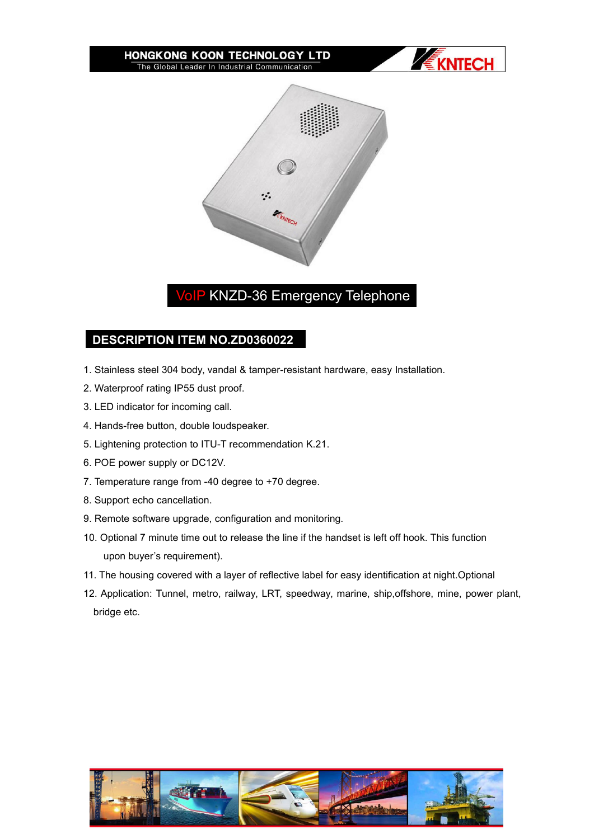#### HONGKONG KOON TECHNOLOGY LTD The Global Leader In Industrial Communication





# VoIP KNZD-36 Emergency Telephone

## **DESCRIPTION ITEM NO.ZD0360022**

- 1. Stainless steel 304 body, vandal & tamper-resistant hardware, easy Installation.
- 2. Waterproof rating IP55 dust proof.
- 3. LED indicator for incoming call.
- 4. Hands-free button, double loudspeaker.
- 5. Lightening protection to ITU-T recommendation K.21.
- 6. POE power supply or DC12V.
- 7. Temperature range from -40 degree to +70 degree.
- 8. Support echo cancellation.
- 
- 9. Remote software upgrade, configuration and monitoring.<br>10. Optional 7 minute time out to release the line if the handset is left off hook. This function upon buyer's requirement).
- 11. The housing covered with a layer of reflective label for easy identification at night.Optional
- 12. Application: Tunnel, metro, railway, LRT, speedway, marine, ship,offshore, mine, power plant, bridge etc.